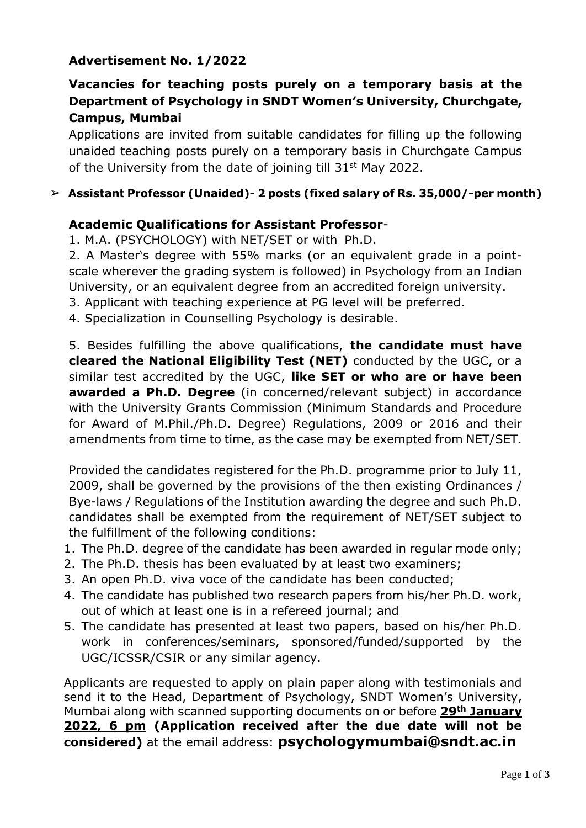## **Advertisement No. 1/2022**

# **Vacancies for teaching posts purely on a temporary basis at the Department of Psychology in SNDT Women's University, Churchgate, Campus, Mumbai**

Applications are invited from suitable candidates for filling up the following unaided teaching posts purely on a temporary basis in Churchgate Campus of the University from the date of joining till 31<sup>st</sup> May 2022.

#### ➢ **Assistant Professor (Unaided)- 2 posts (fixed salary of Rs. 35,000/-per month)**

#### **Academic Qualifications for Assistant Professor**-

1. M.A. (PSYCHOLOGY) with NET/SET or with Ph.D.

2. A Master's degree with 55% marks (or an equivalent grade in a pointscale wherever the grading system is followed) in Psychology from an Indian University, or an equivalent degree from an accredited foreign university.

3. Applicant with teaching experience at PG level will be preferred.

4. Specialization in Counselling Psychology is desirable.

5. Besides fulfilling the above qualifications, **the candidate must have cleared the National Eligibility Test (NET)** conducted by the UGC, or a similar test accredited by the UGC, **like SET or who are or have been awarded a Ph.D. Degree** (in concerned/relevant subject) in accordance with the University Grants Commission (Minimum Standards and Procedure for Award of M.Phil./Ph.D. Degree) Regulations, 2009 or 2016 and their amendments from time to time, as the case may be exempted from NET/SET.

Provided the candidates registered for the Ph.D. programme prior to July 11, 2009, shall be governed by the provisions of the then existing Ordinances / Bye-laws / Regulations of the Institution awarding the degree and such Ph.D. candidates shall be exempted from the requirement of NET/SET subject to the fulfillment of the following conditions:

- 1. The Ph.D. degree of the candidate has been awarded in regular mode only;
- 2. The Ph.D. thesis has been evaluated by at least two examiners;
- 3. An open Ph.D. viva voce of the candidate has been conducted;
- 4. The candidate has published two research papers from his/her Ph.D. work, out of which at least one is in a refereed journal; and
- 5. The candidate has presented at least two papers, based on his/her Ph.D. work in conferences/seminars, sponsored/funded/supported by the UGC/ICSSR/CSIR or any similar agency.

Applicants are requested to apply on plain paper along with testimonials and send it to the Head, Department of Psychology, SNDT Women's University, Mumbai along with scanned supporting documents on or before **29th January 2022, 6 pm (Application received after the due date will not be considered)** at the email address: **psychologymumbai@sndt.ac.in**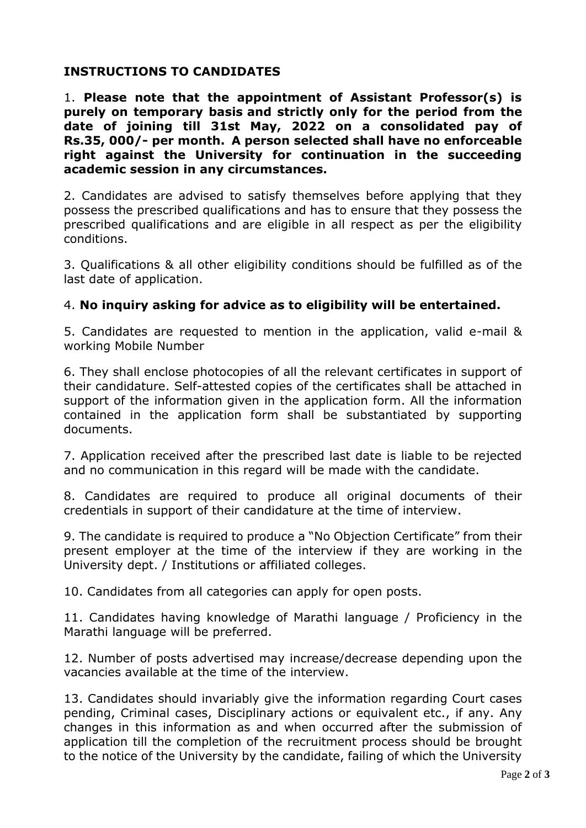## **INSTRUCTIONS TO CANDIDATES**

1. **Please note that the appointment of Assistant Professor(s) is purely on temporary basis and strictly only for the period from the date of joining till 31st May, 2022 on a consolidated pay of Rs.35, 000/- per month. A person selected shall have no enforceable right against the University for continuation in the succeeding academic session in any circumstances.**

2. Candidates are advised to satisfy themselves before applying that they possess the prescribed qualifications and has to ensure that they possess the prescribed qualifications and are eligible in all respect as per the eligibility conditions.

3. Qualifications & all other eligibility conditions should be fulfilled as of the last date of application.

## 4. **No inquiry asking for advice as to eligibility will be entertained.**

5. Candidates are requested to mention in the application, valid e-mail & working Mobile Number

6. They shall enclose photocopies of all the relevant certificates in support of their candidature. Self-attested copies of the certificates shall be attached in support of the information given in the application form. All the information contained in the application form shall be substantiated by supporting documents.

7. Application received after the prescribed last date is liable to be rejected and no communication in this regard will be made with the candidate.

8. Candidates are required to produce all original documents of their credentials in support of their candidature at the time of interview.

9. The candidate is required to produce a "No Objection Certificate" from their present employer at the time of the interview if they are working in the University dept. / Institutions or affiliated colleges.

10. Candidates from all categories can apply for open posts.

11. Candidates having knowledge of Marathi language / Proficiency in the Marathi language will be preferred.

12. Number of posts advertised may increase/decrease depending upon the vacancies available at the time of the interview.

13. Candidates should invariably give the information regarding Court cases pending, Criminal cases, Disciplinary actions or equivalent etc., if any. Any changes in this information as and when occurred after the submission of application till the completion of the recruitment process should be brought to the notice of the University by the candidate, failing of which the University